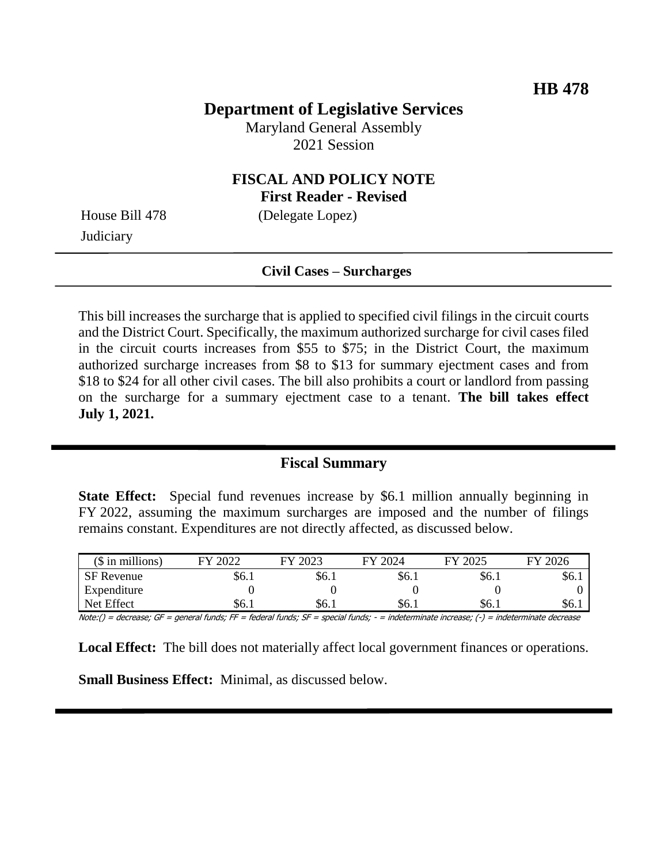## **Department of Legislative Services**

Maryland General Assembly 2021 Session

### **FISCAL AND POLICY NOTE First Reader - Revised**

**Judiciary** 

House Bill 478 (Delegate Lopez)

#### **Civil Cases – Surcharges**

This bill increases the surcharge that is applied to specified civil filings in the circuit courts and the District Court. Specifically, the maximum authorized surcharge for civil cases filed in the circuit courts increases from \$55 to \$75; in the District Court, the maximum authorized surcharge increases from \$8 to \$13 for summary ejectment cases and from \$18 to \$24 for all other civil cases. The bill also prohibits a court or landlord from passing on the surcharge for a summary ejectment case to a tenant. **The bill takes effect July 1, 2021.**

#### **Fiscal Summary**

**State Effect:** Special fund revenues increase by \$6.1 million annually beginning in FY 2022, assuming the maximum surcharges are imposed and the number of filings remains constant. Expenditures are not directly affected, as discussed below.

| $($$ in millions) | 2022<br>ГV | 2023<br>FV | 2024<br>FУ | 2025<br>FV | 2026<br>ГV |
|-------------------|------------|------------|------------|------------|------------|
| <b>SF</b> Revenue | \$6.1      | \$6.1      | \$6.1      | \$6.1      | YO. 1      |
| Expenditure       |            |            |            |            |            |
| Net Effect        | \$6.1      | \$6.1      | S6.        | S6.        | \$6        |

Note:() = decrease; GF = general funds; FF = federal funds; SF = special funds; - = indeterminate increase; (-) = indeterminate decrease

**Local Effect:** The bill does not materially affect local government finances or operations.

**Small Business Effect:** Minimal, as discussed below.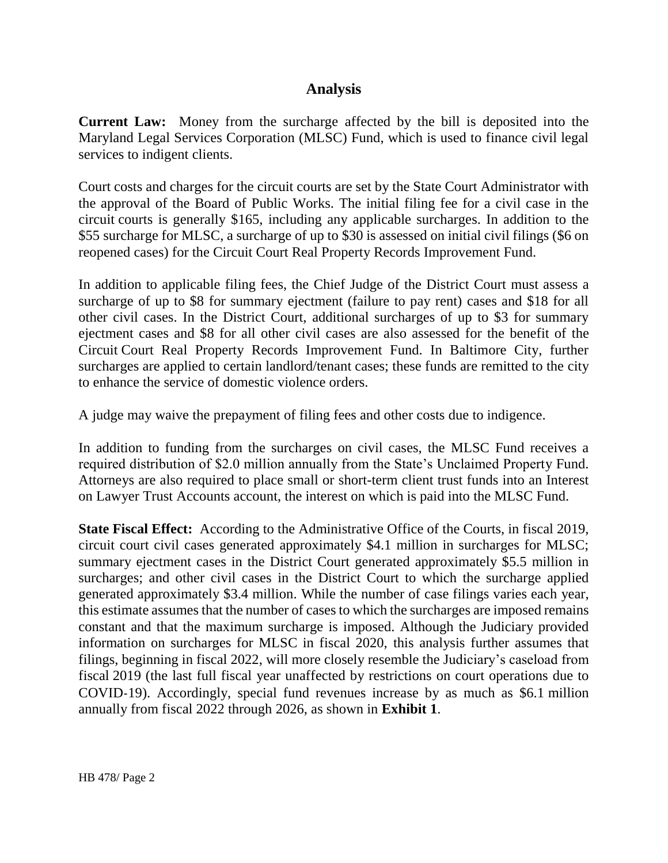### **Analysis**

**Current Law:** Money from the surcharge affected by the bill is deposited into the Maryland Legal Services Corporation (MLSC) Fund, which is used to finance civil legal services to indigent clients.

Court costs and charges for the circuit courts are set by the State Court Administrator with the approval of the Board of Public Works. The initial filing fee for a civil case in the circuit courts is generally \$165, including any applicable surcharges. In addition to the \$55 surcharge for MLSC, a surcharge of up to \$30 is assessed on initial civil filings (\$6 on reopened cases) for the Circuit Court Real Property Records Improvement Fund.

In addition to applicable filing fees, the Chief Judge of the District Court must assess a surcharge of up to \$8 for summary ejectment (failure to pay rent) cases and \$18 for all other civil cases. In the District Court, additional surcharges of up to \$3 for summary ejectment cases and \$8 for all other civil cases are also assessed for the benefit of the Circuit Court Real Property Records Improvement Fund. In Baltimore City, further surcharges are applied to certain landlord/tenant cases; these funds are remitted to the city to enhance the service of domestic violence orders.

A judge may waive the prepayment of filing fees and other costs due to indigence.

In addition to funding from the surcharges on civil cases, the MLSC Fund receives a required distribution of \$2.0 million annually from the State's Unclaimed Property Fund. Attorneys are also required to place small or short-term client trust funds into an Interest on Lawyer Trust Accounts account, the interest on which is paid into the MLSC Fund.

**State Fiscal Effect:** According to the Administrative Office of the Courts, in fiscal 2019, circuit court civil cases generated approximately \$4.1 million in surcharges for MLSC; summary ejectment cases in the District Court generated approximately \$5.5 million in surcharges; and other civil cases in the District Court to which the surcharge applied generated approximately \$3.4 million. While the number of case filings varies each year, this estimate assumes that the number of cases to which the surcharges are imposed remains constant and that the maximum surcharge is imposed. Although the Judiciary provided information on surcharges for MLSC in fiscal 2020, this analysis further assumes that filings, beginning in fiscal 2022, will more closely resemble the Judiciary's caseload from fiscal 2019 (the last full fiscal year unaffected by restrictions on court operations due to COVID-19). Accordingly, special fund revenues increase by as much as \$6.1 million annually from fiscal 2022 through 2026, as shown in **Exhibit 1**.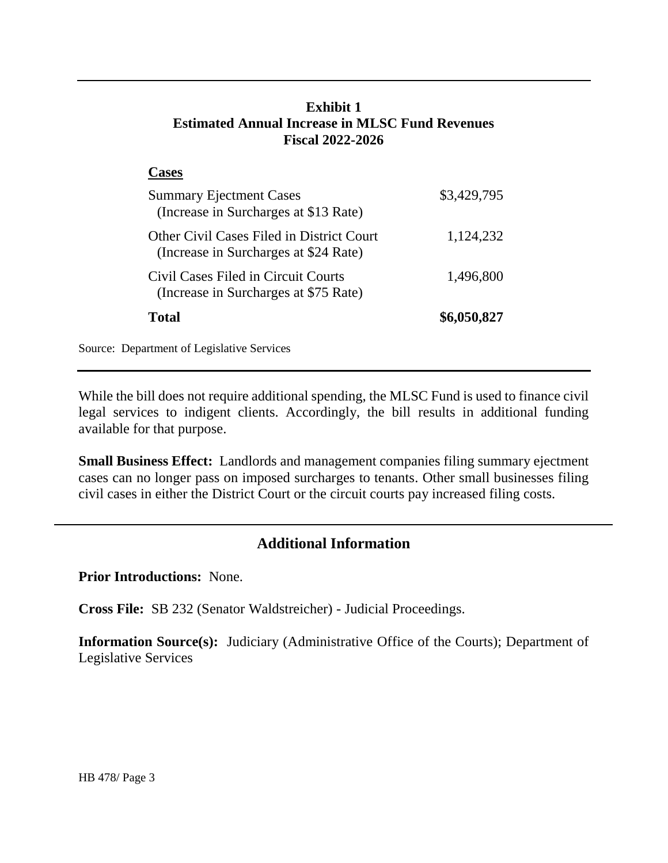## **Exhibit 1 Estimated Annual Increase in MLSC Fund Revenues Fiscal 2022-2026**

| <b>Pases</b>                                                                       |             |
|------------------------------------------------------------------------------------|-------------|
| <b>Summary Ejectment Cases</b><br>(Increase in Surcharges at \$13 Rate)            | \$3,429,795 |
| Other Civil Cases Filed in District Court<br>(Increase in Surcharges at \$24 Rate) | 1,124,232   |
| Civil Cases Filed in Circuit Courts<br>(Increase in Surcharges at \$75 Rate)       | 1,496,800   |
| Total                                                                              | \$6,050,827 |

Source: Department of Legislative Services

While the bill does not require additional spending, the MLSC Fund is used to finance civil legal services to indigent clients. Accordingly, the bill results in additional funding available for that purpose.

**Small Business Effect:** Landlords and management companies filing summary ejectment cases can no longer pass on imposed surcharges to tenants. Other small businesses filing civil cases in either the District Court or the circuit courts pay increased filing costs.

# **Additional Information**

**Prior Introductions:** None.

**Cross File:** SB 232 (Senator Waldstreicher) - Judicial Proceedings.

**Information Source(s):** Judiciary (Administrative Office of the Courts); Department of Legislative Services